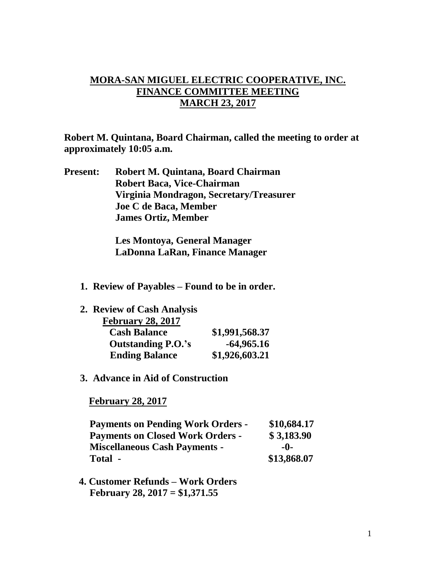## **MORA-SAN MIGUEL ELECTRIC COOPERATIVE, INC. FINANCE COMMITTEE MEETING MARCH 23, 2017**

**Robert M. Quintana, Board Chairman, called the meeting to order at approximately 10:05 a.m.**

**Present: Robert M. Quintana, Board Chairman Robert Baca, Vice-Chairman Virginia Mondragon, Secretary/Treasurer Joe C de Baca, Member James Ortiz, Member**

> **Les Montoya, General Manager LaDonna LaRan, Finance Manager**

**1. Review of Payables – Found to be in order.**

| 2. Review of Cash Analysis |                |
|----------------------------|----------------|
| <b>February 28, 2017</b>   |                |
| <b>Cash Balance</b>        | \$1,991,568.37 |
| <b>Outstanding P.O.'s</b>  | $-64,965.16$   |
| <b>Ending Balance</b>      | \$1,926,603.21 |

**3. Advance in Aid of Construction**

 **February 28, 2017**

| <b>Payments on Pending Work Orders -</b> | \$10,684.17 |
|------------------------------------------|-------------|
| <b>Payments on Closed Work Orders -</b>  | \$3,183.90  |
| <b>Miscellaneous Cash Payments -</b>     | -0-         |
| Total -                                  | \$13,868.07 |

 **4. Customer Refunds – Work Orders February 28, 2017 = \$1,371.55**